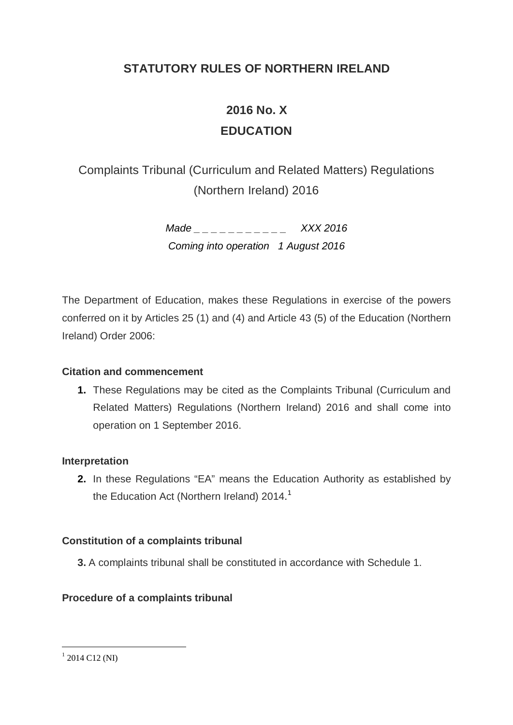# **STATUTORY RULES OF NORTHERN IRELAND**

# **2016 No. X EDUCATION**

Complaints Tribunal (Curriculum and Related Matters) Regulations (Northern Ireland) 2016

> *Made \_ \_ \_ \_ \_ \_ \_ \_ \_ \_ \_ XXX 2016 Coming into operation 1 August 2016*

The Department of Education, makes these Regulations in exercise of the powers conferred on it by Articles 25 (1) and (4) and Article 43 (5) of the Education (Northern Ireland) Order 2006:

# **Citation and commencement**

**1.** These Regulations may be cited as the Complaints Tribunal (Curriculum and Related Matters) Regulations (Northern Ireland) 2016 and shall come into operation on 1 September 2016.

# **Interpretation**

**2.** In these Regulations "EA" means the Education Authority as established by the Education Act (Northern Ireland) 20[1](#page-0-0)4.<sup>1</sup>

# **Constitution of a complaints tribunal**

**3.** A complaints tribunal shall be constituted in accordance with Schedule 1.

# **Procedure of a complaints tribunal**

<span id="page-0-0"></span> $1$  2014 C12 (NI) -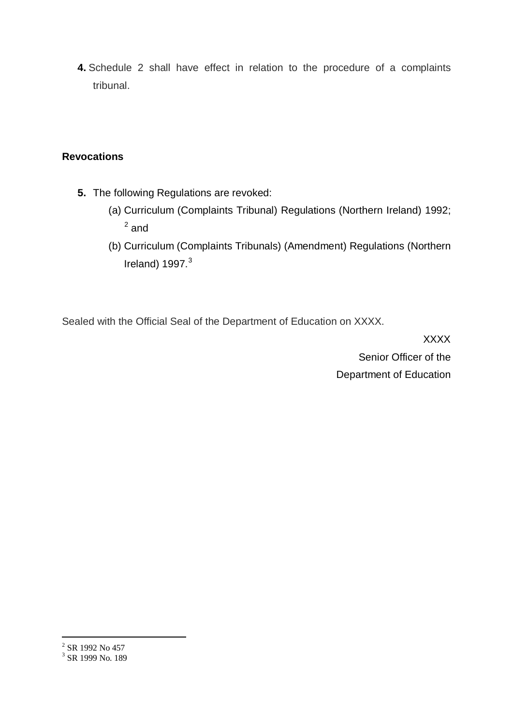**4.** Schedule 2 shall have effect in relation to the procedure of a complaints tribunal.

# **Revocations**

- **5.** The following Regulations are revoked:
	- (a) Curriculum (Complaints Tribunal) Regulations (Northern Ireland) 1992; [2](#page-1-0) and
	- (b) Curriculum (Complaints Tribunals) (Amendment) Regulations (Northern Ireland)  $1997.<sup>3</sup>$  $1997.<sup>3</sup>$  $1997.<sup>3</sup>$

Sealed with the Official Seal of the Department of Education on XXXX.

XXXX Senior Officer of the Department of Education

-

<span id="page-1-0"></span> $2$  SR 1992 No 457

<span id="page-1-1"></span><sup>&</sup>lt;sup>3</sup> SR 1999 No. 189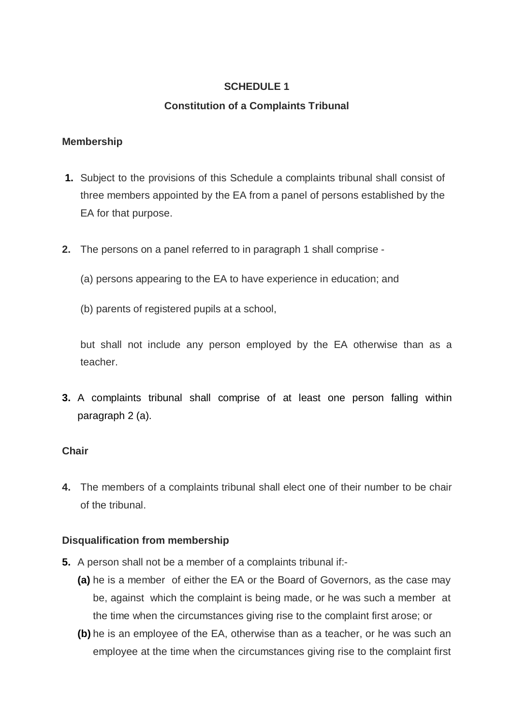# **SCHEDULE 1**

# **Constitution of a Complaints Tribunal**

#### **Membership**

- **1.** Subject to the provisions of this Schedule a complaints tribunal shall consist of three members appointed by the EA from a panel of persons established by the EA for that purpose.
- **2.** The persons on a panel referred to in paragraph 1 shall comprise
	- (a) persons appearing to the EA to have experience in education; and
	- (b) parents of registered pupils at a school,

but shall not include any person employed by the EA otherwise than as a teacher.

**3.** A complaints tribunal shall comprise of at least one person falling within paragraph 2 (a).

# **Chair**

**4.** The members of a complaints tribunal shall elect one of their number to be chair of the tribunal.

# **Disqualification from membership**

- **5.** A person shall not be a member of a complaints tribunal if:-
	- **(a)** he is a member of either the EA or the Board of Governors, as the case may be, against which the complaint is being made, or he was such a member at the time when the circumstances giving rise to the complaint first arose; or
	- **(b)** he is an employee of the EA, otherwise than as a teacher, or he was such an employee at the time when the circumstances giving rise to the complaint first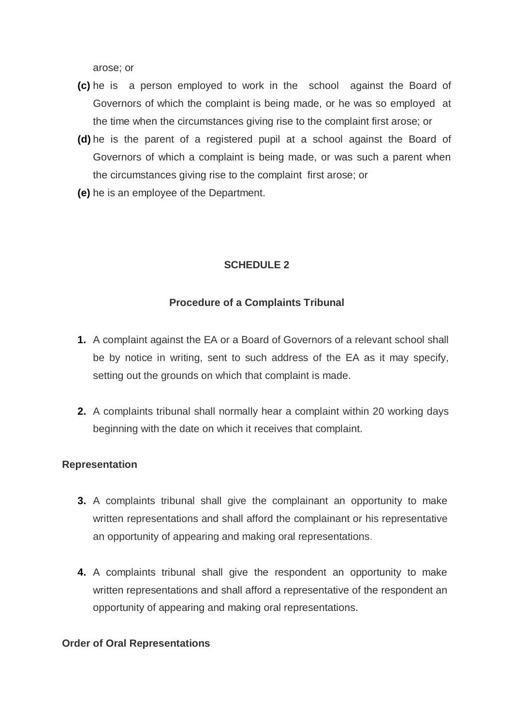arose; or

- **(c)** he is a person employed to work in the school against the Board of Governors of which the complaint is being made, or he was so employed at the time when the circumstances giving rise to the complaint first arose; or
- **(d)** he is the parent of a registered pupil at a school against the Board of Governors of which a complaint is being made, or was such a parent when the circumstances giving rise to the complaint first arose; or
- **(e)** he is an employee of the Department.

# **SCHEDULE 2**

# **Procedure of a Complaints Tribunal**

- **1.** A complaint against the EA or a Board of Governors of a relevant school shall be by notice in writing, sent to such address of the EA as it may specify, setting out the grounds on which that complaint is made.
- **2.** A complaints tribunal shall normally hear a complaint within 20 working days beginning with the date on which it receives that complaint.

# **Representation**

- **3.** A complaints tribunal shall give the complainant an opportunity to make written representations and shall afford the complainant or his representative an opportunity of appearing and making oral representations.
- **4.** A complaints tribunal shall give the respondent an opportunity to make written representations and shall afford a representative of the respondent an opportunity of appearing and making oral representations.

#### **Order of Oral Representations**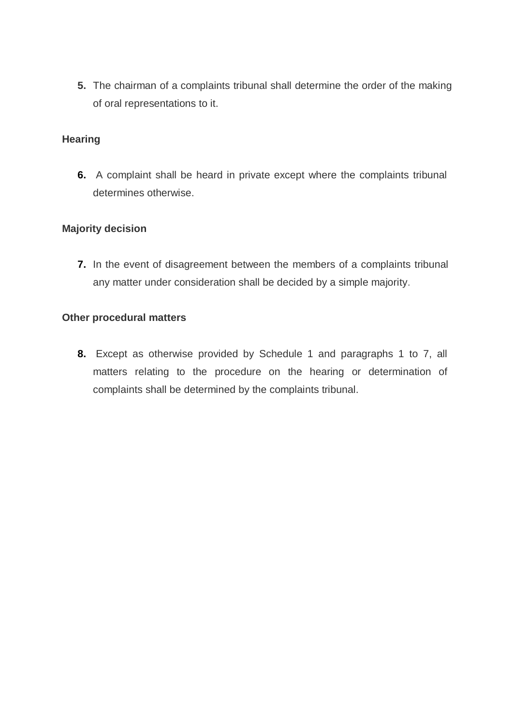**5.** The chairman of a complaints tribunal shall determine the order of the making of oral representations to it.

#### **Hearing**

**6.** A complaint shall be heard in private except where the complaints tribunal determines otherwise.

#### **Majority decision**

**7.** In the event of disagreement between the members of a complaints tribunal any matter under consideration shall be decided by a simple majority.

#### **Other procedural matters**

**8.** Except as otherwise provided by Schedule 1 and paragraphs 1 to 7, all matters relating to the procedure on the hearing or determination of complaints shall be determined by the complaints tribunal.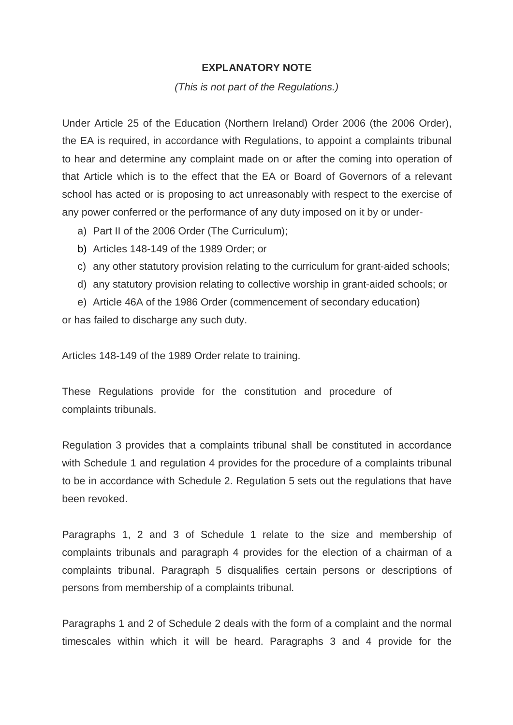#### **EXPLANATORY NOTE**

#### *(This is not part of the Regulations.)*

Under Article 25 of the Education (Northern Ireland) Order 2006 (the 2006 Order), the EA is required, in accordance with Regulations, to appoint a complaints tribunal to hear and determine any complaint made on or after the coming into operation of that Article which is to the effect that the EA or Board of Governors of a relevant school has acted or is proposing to act unreasonably with respect to the exercise of any power conferred or the performance of any duty imposed on it by or under-

- a) Part II of the 2006 Order (The Curriculum);
- b) Articles 148-149 of the 1989 Order; or
- c) any other statutory provision relating to the curriculum for grant-aided schools;
- d) any statutory provision relating to collective worship in grant-aided schools; or

e) Article 46A of the 1986 Order (commencement of secondary education) or has failed to discharge any such duty.

Articles 148-149 of the 1989 Order relate to training.

These Regulations provide for the constitution and procedure of complaints tribunals.

Regulation 3 provides that a complaints tribunal shall be constituted in accordance with Schedule 1 and regulation 4 provides for the procedure of a complaints tribunal to be in accordance with Schedule 2. Regulation 5 sets out the regulations that have been revoked.

Paragraphs 1, 2 and 3 of Schedule 1 relate to the size and membership of complaints tribunals and paragraph 4 provides for the election of a chairman of a complaints tribunal. Paragraph 5 disqualifies certain persons or descriptions of persons from membership of a complaints tribunal.

Paragraphs 1 and 2 of Schedule 2 deals with the form of a complaint and the normal timescales within which it will be heard. Paragraphs 3 and 4 provide for the